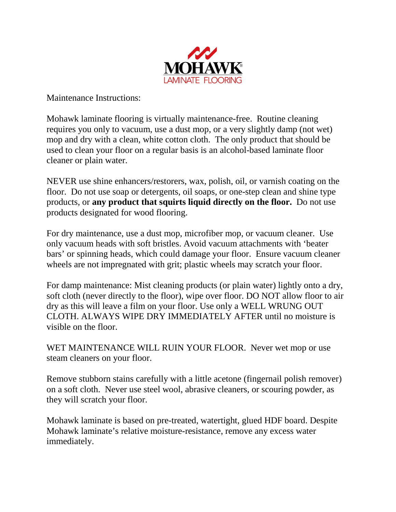

Maintenance Instructions:

Mohawk laminate flooring is virtually maintenance-free. Routine cleaning requires you only to vacuum, use a dust mop, or a very slightly damp (not wet) mop and dry with a clean, white cotton cloth. The only product that should be used to clean your floor on a regular basis is an alcohol-based laminate floor cleaner or plain water.

NEVER use shine enhancers/restorers, wax, polish, oil, or varnish coating on the floor. Do not use soap or detergents, oil soaps, or one-step clean and shine type products, or **any product that squirts liquid directly on the floor.** Do not use products designated for wood flooring.

For dry maintenance, use a dust mop, microfiber mop, or vacuum cleaner. Use only vacuum heads with soft bristles. Avoid vacuum attachments with 'beater bars' or spinning heads, which could damage your floor. Ensure vacuum cleaner wheels are not impregnated with grit; plastic wheels may scratch your floor.

For damp maintenance: Mist cleaning products (or plain water) lightly onto a dry, soft cloth (never directly to the floor), wipe over floor. DO NOT allow floor to air dry as this will leave a film on your floor. Use only a WELL WRUNG OUT CLOTH. ALWAYS WIPE DRY IMMEDIATELY AFTER until no moisture is visible on the floor.

WET MAINTENANCE WILL RUIN YOUR FLOOR. Never wet mop or use steam cleaners on your floor.

Remove stubborn stains carefully with a little acetone (fingernail polish remover) on a soft cloth. Never use steel wool, abrasive cleaners, or scouring powder, as they will scratch your floor.

Mohawk laminate is based on pre-treated, watertight, glued HDF board. Despite Mohawk laminate's relative moisture-resistance, remove any excess water immediately.